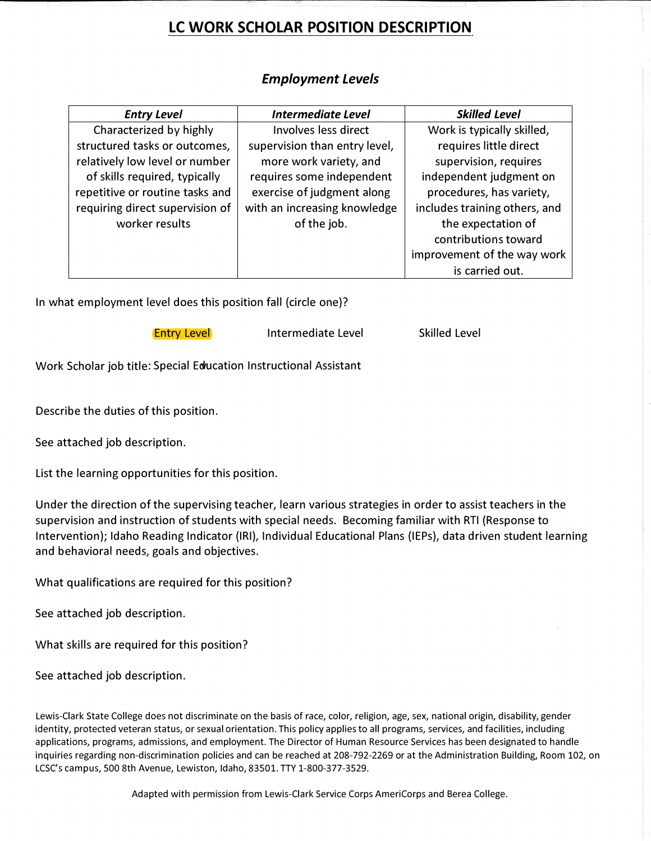# **LC WORK SCHOLAR POSITION DESCRIPTION**

| <b>Entry Level</b>              | <b>Intermediate Level</b>     | <b>Skilled Level</b>          |
|---------------------------------|-------------------------------|-------------------------------|
| Characterized by highly         | Involves less direct          | Work is typically skilled,    |
| structured tasks or outcomes,   | supervision than entry level, | requires little direct        |
| relatively low level or number  | more work variety, and        | supervision, requires         |
| of skills required, typically   | requires some independent     | independent judgment on       |
| repetitive or routine tasks and | exercise of judgment along    | procedures, has variety,      |
| requiring direct supervision of | with an increasing knowledge  | includes training others, and |
| worker results                  | of the job.                   | the expectation of            |
|                                 |                               | contributions toward          |
|                                 |                               | improvement of the way work   |
|                                 |                               | is carried out.               |

# *Employment Levels*

In what employment level does this position fall (circle one)?

**Entry Level** Intermediate Level Skilled Level

Work Scholar job title: Special Education Instructional Assistant

Describe the duties of this position.

See attached job description.

List the learning opportunities for this position.

Under the direction of the supervising teacher, learn various strategies in order to assist teachers in the supervision and instruction of students with special needs. Becoming familiar with RTI (Response to Intervention); Idaho Reading Indicator (IRI), Individual Educational Plans (IEPs), data driven student learning and behavioral needs, goals and objectives.

What qualifications are required for this position?

See attached job description.

What skills are required for this position?

See attached job description.

Lewis-Clark State College does not discriminate on the basis of race, color, religion, age, sex, national origin, disability, gender identity, protected veteran status, or sexual orientation. This policy applies to all programs, services, and facilities, including applications, programs, admissions, and employment. The Director of Human Resource Services has been designated to handle inquiries regarding non-discrimination policies and can be reached at 208-792-2269 or at the Administration Building, Room 102, on LCSC's campus, 500 8th Avenue, Lewiston, Idaho, 83501. TTY 1-800-377-3529.

Adapted with permission from Lewis-Clark Service Corps AmeriCorps and Berea College.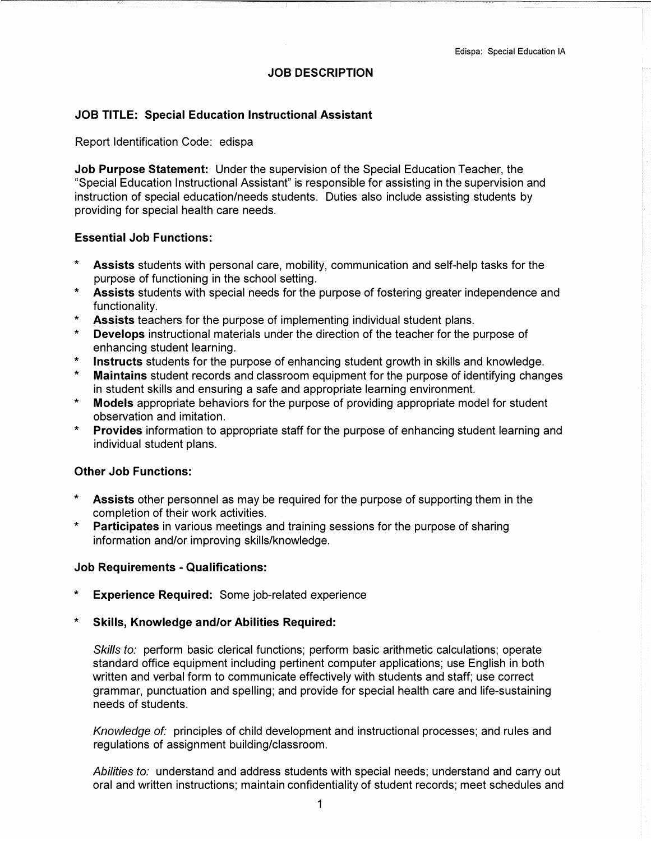## **JOB DESCRIPTION**

## **JOB TITLE: Special Education Instructional Assistant**

#### Report Identification Code: edispa

**Job Purpose Statement:** Under the supervision of the Special Education Teacher, the "Special Education Instructional Assistant" is responsible for assisting in the supervision and instruction of special education/needs students. Duties also include assisting students by providing for special health care needs.

#### **Essential Job Functions:**

- Assists students with personal care, mobility, communication and self-help tasks for the purpose of functioning in the school setting.
- \* **Assists** students with special needs for the purpose of fostering greater independence and functionality.
- Assists teachers for the purpose of implementing individual student plans.
- \* **Develops** instructional materials under the direction of the teacher for the purpose of enhancing student learning.
- \* **Instructs** students for the purpose of enhancing student growth in skills and knowledge.
- **Maintains** student records and classroom equipment for the purpose of identifying changes in student skills and ensuring a safe and appropriate learning environment.
- \* **Models** appropriate behaviors for the purpose of providing appropriate model for student observation and imitation.
- \* **Provides** information to appropriate staff for the purpose of enhancing student learning and individual student plans.

#### **Other Job Functions:**

- \* **Assists** other personnel as may be required for the purpose of supporting them in the completion of their work activities.
- \* **Participates** in various meetings and training sessions for the purpose of sharing information and/or improving skills/knowledge.

#### **Job Requirements - Qualifications:**

- **Experience Required:** Some job-related experience
- \* **Skills, Knowledge and/or Abilities Required:**

*Skills to:* perform basic clerical functions; perform basic arithmetic calculations; operate standard office equipment including pertinent computer applications; use English in both written and verbal form to communicate effectively with students and staff; use correct grammar, punctuation and spelling; and provide for special health care and life-sustaining needs of students.

*Knowledge of:* principles of child development and instructional processes; and rules and regulations of assignment building/classroom.

*Abilities to:* understand and address students with special needs; understand and carry out oral and written instructions; maintain confidentiality of student records; meet schedules and